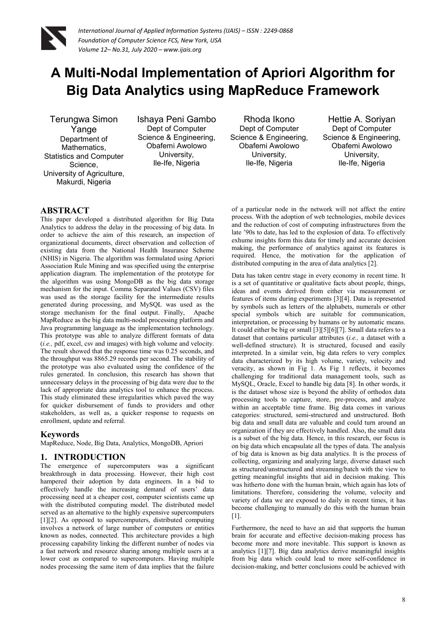

# **A Multi-Nodal Implementation of Apriori Algorithm for Big Data Analytics using MapReduce Framework**

Terungwa Simon Yange Department of Mathematics, Statistics and Computer Science, University of Agriculture, Makurdi, Nigeria

Ishaya Peni Gambo Dept of Computer Science & Engineering, Obafemi Awolowo University, Ile-Ife, Nigeria

Rhoda Ikono Dept of Computer Science & Engineering, Obafemi Awolowo University, Ile-Ife, Nigeria

Hettie A. Soriyan Dept of Computer Science & Engineering, Obafemi Awolowo University, Ile-Ife, Nigeria

### **ABSTRACT**

This paper developed a distributed algorithm for Big Data Analytics to address the delay in the processing of big data. In order to achieve the aim of this research, an inspection of organizational documents, direct observation and collection of existing data from the National Health Insurance Scheme (NHIS) in Nigeria. The algorithm was formulated using Apriori Association Rule Mining and was specified using the enterprise application diagram. The implementation of the prototype for the algorithm was using MongoDB as the big data storage mechanism for the input. Comma Separated Values (CSV) files was used as the storage facility for the intermediate results generated during processing, and MySQL was used as the storage mechanism for the final output. Finally, Apache MapReduce as the big data multi-nodal processing platform and Java programming language as the implementation technology. This prototype was able to analyze different formats of data (*i.e.,* pdf, excel, csv and images) with high volume and velocity. The result showed that the response time was 0.25 seconds, and the throughput was 8865.29 records per second. The stability of the prototype was also evaluated using the confidence of the rules generated. In conclusion, this research has shown that unnecessary delays in the processing of big data were due to the lack of appropriate data analytics tool to enhance the process. This study eliminated these irregularities which paved the way for quicker disbursement of funds to providers and other stakeholders, as well as, a quicker response to requests on enrollment, update and referral.

#### **Keywords**

MapReduce, Node, Big Data, Analytics, MongoDB, Apriori

### **1. INTRODUCTION**

The emergence of supercomputers was a significant breakthrough in data processing. However, their high cost hampered their adoption by data engineers. In a bid to effectively handle the increasing demand of users' data processing need at a cheaper cost, computer scientists came up with the distributed computing model. The distributed model served as an alternative to the highly expensive supercomputers [1][2]. As opposed to supercomputers, distributed computing involves a network of large number of computers or entities known as nodes, connected. This architecture provides a high processing capability linking the different number of nodes via a fast network and resource sharing among multiple users at a lower cost as compared to supercomputers. Having multiple nodes processing the same item of data implies that the failure

of a particular node in the network will not affect the entire process. With the adoption of web technologies, mobile devices and the reduction of cost of computing infrastructures from the late '90s to date, has led to the explosion of data. To effectively exhume insights form this data for timely and accurate decision making, the performance of analytics against its features is required. Hence, the motivation for the application of distributed computing in the area of data analytics [2].

Data has taken centre stage in every economy in recent time. It is a set of quantitative or qualitative facts about people, things, ideas and events derived from either via measurement or features of items during experiments [3][4]. Data is represented by symbols such as letters of the alphabets, numerals or other special symbols which are suitable for communication, interpretation, or processing by humans or by automatic means. It could either be big or small [3][5][6][7]. Small data refers to a dataset that contains particular attributes (*i.e.,* a dataset with a well-defined structure). It is structured, focused and easily interpreted. In a similar vein, big data refers to very complex data characterized by its high volume, variety, velocity and veracity, as shown in Fig 1. As Fig 1 reflects, it becomes challenging for traditional data management tools, such as MySQL, Oracle, Excel to handle big data [8]. In other words, it is the dataset whose size is beyond the ability of orthodox data processing tools to capture, store, pre-process, and analyze within an acceptable time frame. Big data comes in various categories: structured, semi-structured and unstructured. Both big data and small data are valuable and could turn around an organization if they are effectively handled. Also, the small data is a subset of the big data. Hence, in this research, our focus is on big data which encapsulate all the types of data. The analysis of big data is known as big data analytics. It is the process of collecting, organizing and analyzing large, diverse dataset such as structured/unstructured and streaming/batch with the view to getting meaningful insights that aid in decision making. This was hitherto done with the human brain, which again has lots of limitations. Therefore, considering the volume, velocity and variety of data we are exposed to daily in recent times, it has become challenging to manually do this with the human brain [1].

Furthermore, the need to have an aid that supports the human brain for accurate and effective decision-making process has become more and more inevitable. This support is known as analytics [1][7]. Big data analytics derive meaningful insights from big data which could lead to more self-confidence in decision-making, and better conclusions could be achieved with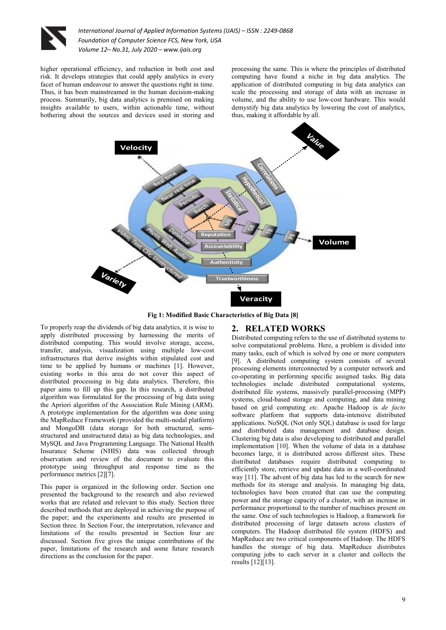

higher operational efficiency, and reduction in both cost and risk. It develops strategies that could apply analytics in every facet of human endeavour to answer the questions right in time. Thus, it has been mainstreamed in the human decision-making process. Summarily, big data analytics is premised on making insights available to users, within actionable time, without bothering about the sources and devices used in storing and

processing the same. This is where the principles of distributed computing have found a niche in big data analytics. The application of distributed computing in big data analytics can scale the processing and storage of data with an increase in volume, and the ability to use low-cost hardware. This would demystify big data analytics by lowering the cost of analytics, thus, making it affordable by all.



**Fig 1: Modified Basic Characteristics of Big Data [8]** 

**2. RELATED WORKS** 

To properly reap the dividends of big data analytics, it is wise to apply distributed processing by harnessing the merits of distributed computing. This would involve storage, access, transfer, analysis, visualization using multiple low-cost infrastructures that derive insights within stipulated cost and time to be applied by humans or machines [1]. However, existing works in this area do not cover this aspect of distributed processing in big data analytics. Therefore, this paper aims to fill up this gap. In this research, a distributed algorithm was formulated for the processing of big data using the Apriori algorithm of the Association Rule Mining (ARM). A prototype implementation for the algorithm was done using the MapReduce Framework (provided the multi-nodal platform) and MongoDB (data storage for both structured, semistructured and unstructured data) as big data technologies, and MySQL and Java Programming Language. The National Health Insurance Scheme (NHIS) data was collected through observation and review of the document to evaluate this prototype using throughput and response time as the performance metrics [2][7].

This paper is organized in the following order. Section one presented the background to the research and also reviewed works that are related and relevant to this study. Section three described methods that are deployed in achieving the purpose of the paper; and the experiments and results are presented in Section three. In Section Four, the interpretation, relevance and limitations of the results presented in Section four are discussed. Section five gives the unique contributions of the paper, limitations of the research and some future research directions as the conclusion for the paper.

Distributed computing refers to the use of distributed systems to solve computational problems. Here, a problem is divided into many tasks, each of which is solved by one or more computers [9]. A distributed computing system consists of several processing elements interconnected by a computer network and co-operating in performing specific assigned tasks. Big data technologies include distributed computational systems, distributed file systems, massively parallel-processing (MPP) systems, cloud-based storage and computing, and data mining based on grid computing *etc.* Apache Hadoop is *de facto* software platform that supports data-intensive distributed applications. NoSQL (Not only SQL) database is used for large and distributed data management and database design. Clustering big data is also developing to distributed and parallel implementation [10]. When the volume of data in a database becomes large, it is distributed across different sites. These distributed databases require distributed computing to efficiently store, retrieve and update data in a well-coordinated way [11]. The advent of big data has led to the search for new methods for its storage and analysis. In managing big data, technologies have been created that can use the computing power and the storage capacity of a cluster, with an increase in performance proportional to the number of machines present on the same. One of such technologies is Hadoop, a framework for distributed processing of large datasets across clusters of computers. The Hadoop distributed file system (HDFS) and MapReduce are two critical components of Hadoop. The HDFS handles the storage of big data. MapReduce distributes computing jobs to each server in a cluster and collects the results [12][13].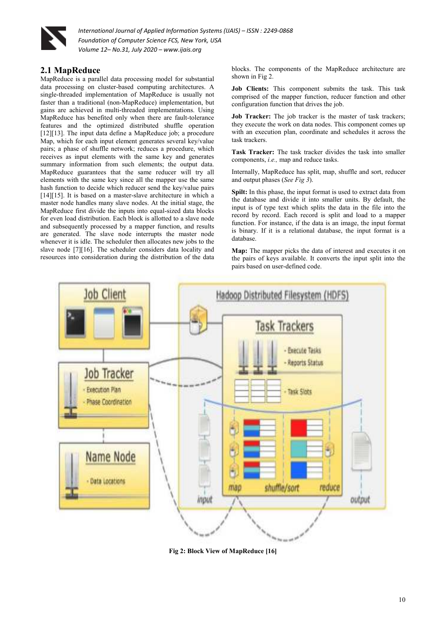

# **2.1 MapReduce**

MapReduce is a parallel data processing model for substantial data processing on cluster-based computing architectures. A single-threaded implementation of MapReduce is usually not faster than a traditional (non-MapReduce) implementation, but gains are achieved in multi-threaded implementations. Using MapReduce has benefited only when there are fault-tolerance features and the optimized distributed shuffle operation [12][13]. The input data define a MapReduce job; a procedure Map, which for each input element generates several key/value pairs; a phase of shuffle network; reduces a procedure, which receives as input elements with the same key and generates summary information from such elements; the output data. MapReduce guarantees that the same reducer will try all elements with the same key since all the mapper use the same hash function to decide which reducer send the key/value pairs [14][15]. It is based on a master-slave architecture in which a master node handles many slave nodes. At the initial stage, the MapReduce first divide the inputs into equal-sized data blocks for even load distribution. Each block is allotted to a slave node and subsequently processed by a mapper function, and results are generated. The slave node interrupts the master node whenever it is idle. The scheduler then allocates new jobs to the slave node [7][16]. The scheduler considers data locality and resources into consideration during the distribution of the data

blocks. The components of the MapReduce architecture are shown in Fig 2.

**Job Clients:** This component submits the task. This task comprised of the mapper function, reducer function and other configuration function that drives the job.

**Job Tracker:** The job tracker is the master of task trackers; they execute the work on data nodes. This component comes up with an execution plan, coordinate and schedules it across the task trackers.

**Task Tracker:** The task tracker divides the task into smaller components, *i.e.,* map and reduce tasks.

Internally, MapReduce has split, map, shuffle and sort, reducer and output phases (*See Fig 3*).

**Spilt:** In this phase, the input format is used to extract data from the database and divide it into smaller units. By default, the input is of type text which splits the data in the file into the record by record. Each record is split and load to a mapper function. For instance, if the data is an image, the input format is binary. If it is a relational database, the input format is a database.

**Map:** The mapper picks the data of interest and executes it on the pairs of keys available. It converts the input split into the pairs based on user-defined code.



**Fig 2: Block View of MapReduce [16]**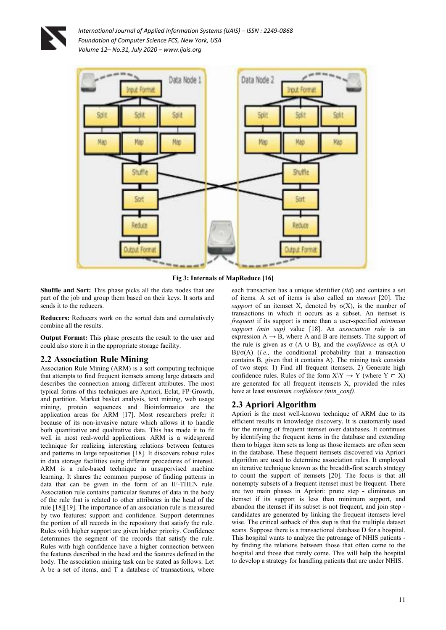



**Fig 3: Internals of MapReduce [16]** 

**Shuffle and Sort:** This phase picks all the data nodes that are part of the job and group them based on their keys. It sorts and sends it to the reducers.

**Reducers:** Reducers work on the sorted data and cumulatively combine all the results.

**Output Format:** This phase presents the result to the user and could also store it in the appropriate storage facility.

### **2.2 Association Rule Mining**

Association Rule Mining (ARM) is a soft computing technique that attempts to find frequent itemsets among large datasets and describes the connection among different attributes. The most typical forms of this techniques are Apriori, Eclat, FP-Growth, and partition. Market basket analysis, text mining, web usage mining, protein sequences and Bioinformatics are the application areas for ARM [17]. Most researchers prefer it because of its non-invasive nature which allows it to handle both quantitative and qualitative data. This has made it to fit well in most real-world applications. ARM is a widespread technique for realizing interesting relations between features and patterns in large repositories [18]. It discovers robust rules in data storage facilities using different procedures of interest. ARM is a rule-based technique in unsupervised machine learning. It shares the common purpose of finding patterns in data that can be given in the form of an IF-THEN rule. Association rule contains particular features of data in the body of the rule that is related to other attributes in the head of the rule [18][19]. The importance of an association rule is measured by two features: support and confidence. Support determines the portion of all records in the repository that satisfy the rule. Rules with higher support are given higher priority. Confidence determines the segment of the records that satisfy the rule. Rules with high confidence have a higher connection between the features described in the head and the features defined in the body. The association mining task can be stated as follows: Let A be a set of items, and T a database of transactions, where

each transaction has a unique identifier (*tid*) and contains a set of items. A set of items is also called an *itemset* [20]. The *support* of an itemset X, denoted by  $\sigma(X)$ , is the number of transactions in which it occurs as a subset. An itemset is *frequent* if its support is more than a user-specified *minimum support (min sup)* value [18]. An *association rule* is an expression  $A \rightarrow B$ , where A and B are itemsets. The support of the rule is given as  $\sigma$  (A ∪ B), and the *confidence* as  $\sigma$ (A ∪ B)/σ(A) (*i.e.,* the conditional probability that a transaction contains B, given that it contains A). The mining task consists of two steps: 1) Find all frequent itemsets. 2) Generate high confidence rules. Rules of the form  $X\ Y \to Y$  (where  $Y \subset X$ ) are generated for all frequent itemsets X, provided the rules have at least *minimum confidence (min\_conf)*.

### **2.3 Apriori Algorithm**

Apriori is the most well-known technique of ARM due to its efficient results in knowledge discovery. It is customarily used for the mining of frequent itemset over databases. It continues by identifying the frequent items in the database and extending them to bigger item sets as long as those itemsets are often seen in the database. These frequent itemsets discovered via Apriori algorithm are used to determine association rules. It employed an iterative technique known as the breadth-first search strategy to count the support of itemsets [20]. The focus is that all nonempty subsets of a frequent itemset must be frequent. There are two main phases in Apriori: prune step **-** eliminates an itemset if its support is less than minimum support, and abandon the itemset if its subset is not frequent, and join step candidates are generated by linking the frequent itemsets level wise. The critical setback of this step is that the multiple dataset scans. Suppose there is a transactional database D for a hospital. This hospital wants to analyze the patronage of NHIS patients by finding the relations between those that often come to the hospital and those that rarely come. This will help the hospital to develop a strategy for handling patients that are under NHIS.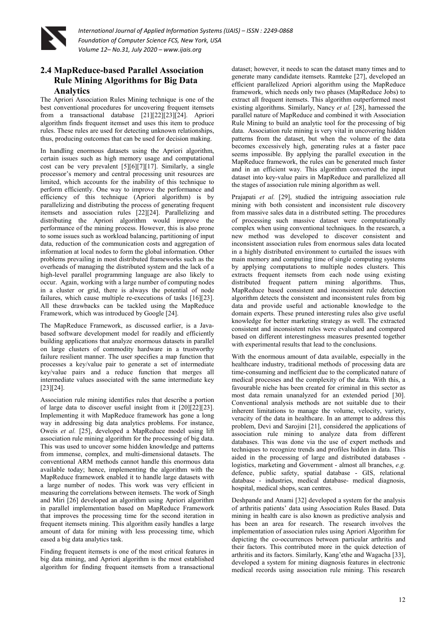

# **2.4 MapReduce-based Parallel Association Rule Mining Algorithms for Big Data Analytics**

The Apriori Association Rules Mining technique is one of the best conventional procedures for uncovering frequent itemsets from a transactional database [21][22][23][24]. Apriori algorithm finds frequent itemset and uses this item to produce rules. These rules are used for detecting unknown relationships, thus, producing outcomes that can be used for decision making.

In handling enormous datasets using the Apriori algorithm, certain issues such as high memory usage and computational cost can be very prevalent [5][6][7][17]. Similarly, a single processor's memory and central processing unit resources are limited, which accounts for the inability of this technique to perform efficiently. One way to improve the performance and efficiency of this technique (Apriori algorithm) is by parallelizing and distributing the process of generating frequent itemsets and association rules [22][24]. Parallelizing and distributing the Apriori algorithm would improve the performance of the mining process. However, this is also prone to some issues such as workload balancing, partitioning of input data, reduction of the communication costs and aggregation of information at local nodes to form the global information. Other problems prevailing in most distributed frameworks such as the overheads of managing the distributed system and the lack of a high-level parallel programming language are also likely to occur. Again, working with a large number of computing nodes in a cluster or grid, there is always the potential of node failures, which cause multiple re-executions of tasks [16][23]. All these drawbacks can be tackled using the MapReduce Framework, which was introduced by Google [24].

The MapReduce Framework, as discussed earlier, is a Javabased software development model for readily and efficiently building applications that analyze enormous datasets in parallel on large clusters of commodity hardware in a trustworthy failure resilient manner. The user specifies a map function that processes a key/value pair to generate a set of intermediate key/value pairs and a reduce function that merges all intermediate values associated with the same intermediate key [23][24].

Association rule mining identifies rules that describe a portion of large data to discover useful insight from it [20][22][23]. Implementing it with MapReduce framework has gone a long way in addressing big data analytics problems. For instance, Oweis *et al.* [25], developed a MapReduce model using lift association rule mining algorithm for the processing of big data. This was used to uncover some hidden knowledge and patterns from immense, complex, and multi-dimensional datasets. The conventional ARM methods cannot handle this enormous data available today; hence, implementing the algorithm with the MapReduce framework enabled it to handle large datasets with a large number of nodes. This work was very efficient in measuring the correlations between itemsets. The work of Singh and Miri [26] developed an algorithm using Apriori algorithm in parallel implementation based on MapReduce Framework that improves the processing time for the second iteration in frequent itemsets mining. This algorithm easily handles a large amount of data for mining with less processing time, which eased a big data analytics task.

Finding frequent itemsets is one of the most critical features in big data mining, and Apriori algorithm is the most established algorithm for finding frequent itemsets from a transactional

dataset; however, it needs to scan the dataset many times and to generate many candidate itemsets. Ramteke [27], developed an efficient parallelized Apriori algorithm using the MapReduce framework, which needs only two phases (MapReduce Jobs) to extract all frequent itemsets. This algorithm outperformed most existing algorithms. Similarly, Nancy *et al.* [28], harnessed the parallel nature of MapReduce and combined it with Association Rule Mining to build an analytic tool for the processing of big data. Association rule mining is very vital in uncovering hidden patterns from the dataset, but when the volume of the data becomes excessively high, generating rules at a faster pace seems impossible. By applying the parallel execution in the MapReduce framework, the rules can be generated much faster and in an efficient way. This algorithm converted the input dataset into key-value pairs in MapReduce and parallelized all the stages of association rule mining algorithm as well.

Prajapati *et al.* [29], studied the intriguing association rule mining with both consistent and inconsistent rule discovery from massive sales data in a distributed setting. The procedures of processing such massive dataset were computationally complex when using conventional techniques. In the research, a new method was developed to discover consistent and inconsistent association rules from enormous sales data located in a highly distributed environment to curtailed the issues with main memory and computing time of single computing systems by applying computations to multiple nodes clusters. This extracts frequent itemsets from each node using existing distributed frequent pattern mining algorithms. Thus, MapReduce based consistent and inconsistent rule detection algorithm detects the consistent and inconsistent rules from big data and provide useful and actionable knowledge to the domain experts. These pruned interesting rules also give useful knowledge for better marketing strategy as well. The extracted consistent and inconsistent rules were evaluated and compared based on different interestingness measures presented together with experimental results that lead to the conclusions.

With the enormous amount of data available, especially in the healthcare industry, traditional methods of processing data are time-consuming and inefficient due to the complicated nature of medical processes and the complexity of the data. With this, a favourable niche has been created for criminal in this sector as most data remain unanalyzed for an extended period [30]. Conventional analysis methods are not suitable due to their inherent limitations to manage the volume, velocity, variety, veracity of the data in healthcare. In an attempt to address this problem, Devi and Sarojini [21], considered the applications of association rule mining to analyze data from different databases. This was done via the use of expert methods and techniques to recognize trends and profiles hidden in data. This aided in the processing of large and distributed databases logistics, marketing and Government - almost all branches, *e.g.* defence, public safety, spatial database - GIS, relational database - industries, medical database- medical diagnosis, hospital, medical shops, scan centres.

Deshpande and Anami [32] developed a system for the analysis of arthritis patients' data using Association Rules Based. Data mining in health care is also known as predictive analysis and has been an area for research. The research involves the implementation of association rules using Apriori Algorithm for depicting the co-occurrences between particular arthritis and their factors. This contributed more in the quick detection of arthritis and its factors. Similarly, Kang'ethe and Wagacha [33], developed a system for mining diagnosis features in electronic medical records using association rule mining. This research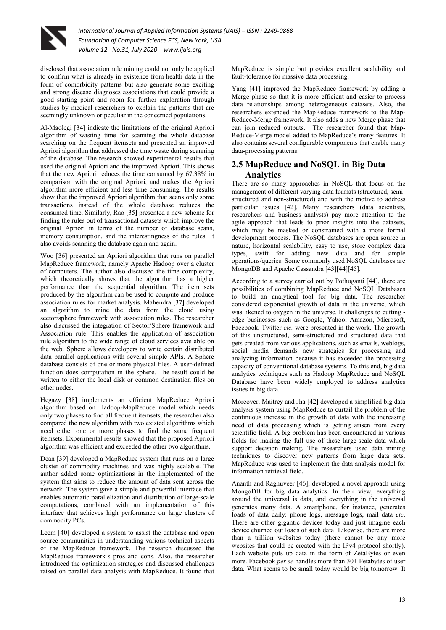

disclosed that association rule mining could not only be applied to confirm what is already in existence from health data in the form of comorbidity patterns but also generate some exciting and strong disease diagnoses associations that could provide a good starting point and room for further exploration through studies by medical researchers to explain the patterns that are seemingly unknown or peculiar in the concerned populations.

Al-Maolegi [34] indicate the limitations of the original Apriori algorithm of wasting time for scanning the whole database searching on the frequent itemsets and presented an improved Apriori algorithm that addressed the time waste during scanning of the database. The research showed experimental results that used the original Apriori and the improved Apriori. This shows that the new Apriori reduces the time consumed by 67.38% in comparison with the original Apriori, and makes the Apriori algorithm more efficient and less time consuming. The results show that the improved Apriori algorithm that scans only some transactions instead of the whole database reduces the consumed time. Similarly, Rao [35] presented a new scheme for finding the rules out of transactional datasets which improve the original Apriori in terms of the number of database scans, memory consumption, and the interestingness of the rules. It also avoids scanning the database again and again.

Woo [36] presented an Apriori algorithm that runs on parallel MapReduce framework, namely Apache Hadoop over a cluster of computers. The author also discussed the time complexity, which theoretically shows that the algorithm has a higher performance than the sequential algorithm. The item sets produced by the algorithm can be used to compute and produce association rules for market analysis. Mahendra [37] developed an algorithm to mine the data from the cloud using sector/sphere framework with association rules. The researcher also discussed the integration of Sector/Sphere framework and Association rule. This enables the application of association rule algorithm to the wide range of cloud services available on the web. Sphere allows developers to write certain distributed data parallel applications with several simple APIs. A Sphere database consists of one or more physical files. A user-defined function does computation in the sphere. The result could be written to either the local disk or common destination files on other nodes.

Hegazy [38] implements an efficient MapReduce Apriori algorithm based on Hadoop-MapReduce model which needs only two phases to find all frequent itemsets, the researcher also compared the new algorithm with two existed algorithms which need either one or more phases to find the same frequent itemsets. Experimental results showed that the proposed Apriori algorithm was efficient and exceeded the other two algorithms.

Dean [39] developed a MapReduce system that runs on a large cluster of commodity machines and was highly scalable. The author added some optimizations in the implemented of the system that aims to reduce the amount of data sent across the network. The system gave a simple and powerful interface that enables automatic parallelization and distribution of large-scale computations, combined with an implementation of this interface that achieves high performance on large clusters of commodity PCs.

Leem [40] developed a system to assist the database and open source communities in understanding various technical aspects of the MapReduce framework. The research discussed the MapReduce framework's pros and cons. Also, the researcher introduced the optimization strategies and discussed challenges raised on parallel data analysis with MapReduce. It found that

MapReduce is simple but provides excellent scalability and fault-tolerance for massive data processing.

Yang [41] improved the MapReduce framework by adding a Merge phase so that it is more efficient and easier to process data relationships among heterogeneous datasets. Also, the researchers extended the MapReduce framework to the Map-Reduce-Merge framework. It also adds a new Merge phase that can join reduced outputs. The researcher found that Map-Reduce-Merge model added to MapReduce's many features. It also contains several configurable components that enable many data-processing patterns.

# **2.5 MapReduce and NoSQL in Big Data Analytics**

There are so many approaches in NoSQL that focus on the management of different varying data formats (structured, semistructured and non-structured) and with the motive to address particular issues [42]. Many researchers (data scientists, researchers and business analysts) pay more attention to the agile approach that leads to prior insights into the datasets, which may be masked or constrained with a more formal development process. The NoSQL databases are open source in nature, horizontal scalability, easy to use, store complex data types, swift for adding new data and for simple operations/queries. Some commonly used NoSQL databases are MongoDB and Apache Cassandra [43][44][45].

According to a survey carried out by Pothuganti [44], there are possibilities of combining MapReduce and NoSQL Databases to build an analytical tool for big data. The researcher considered exponential growth of data in the universe, which was likened to oxygen in the universe. It challenges to cutting edge businesses such as Google, Yahoo, Amazon, Microsoft, Facebook, Twitter *etc.* were presented in the work. The growth of this unstructured, semi-structured and structured data that gets created from various applications, such as emails, weblogs, social media demands new strategies for processing and analyzing information because it has exceeded the processing capacity of conventional database systems. To this end, big data analytics techniques such as Hadoop MapReduce and NoSQL Database have been widely employed to address analytics issues in big data.

Moreover, Maitrey and Jha [42] developed a simplified big data analysis system using MapReduce to curtail the problem of the continuous increase in the growth of data with the increasing need of data processing which is getting arisen from every scientific field. A big problem has been encountered in various fields for making the full use of these large-scale data which support decision making. The researchers used data mining techniques to discover new patterns from large data sets. MapReduce was used to implement the data analysis model for information retrieval field.

Ananth and Raghuveer [46], developed a novel approach using MongoDB for big data analytics. In their view, everything around the universal is data, and everything in the universal generates many data. A smartphone, for instance, generates loads of data daily: phone logs, message logs, mail data *etc*. There are other gigantic devices today and just imagine each device churned out loads of such data! Likewise, there are more than a trillion websites today (there cannot be any more websites that could be created with the IPv4 protocol shortly). Each website puts up data in the form of ZetaBytes or even more. Facebook *per se* handles more than 30+ Petabytes of user data. What seems to be small today would be big tomorrow. It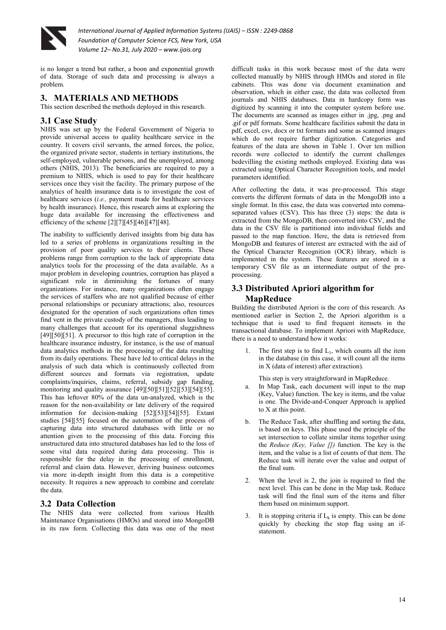

is no longer a trend but rather, a boon and exponential growth of data. Storage of such data and processing is always a problem.

# **3. MATERIALS AND METHODS**

This section described the methods deployed in this research.

# **3.1 Case Study**

NHIS was set up by the Federal Government of Nigeria to provide universal access to quality healthcare service in the country. It covers civil servants, the armed forces, the police, the organized private sector, students in tertiary institutions, the self-employed, vulnerable persons, and the unemployed, among others (NHIS, 2013). The beneficiaries are required to pay a premium to NHIS, which is used to pay for their healthcare services once they visit the facility. The primary purpose of the analytics of health insurance data is to investigate the cost of healthcare services (*i.e.,* payment made for healthcare services by health insurance). Hence, this research aims at exploring the huge data available for increasing the effectiveness and efficiency of the scheme [2][7][45][46][47][48].

The inability to sufficiently derived insights from big data has led to a series of problems in organizations resulting in the provision of poor quality services to their clients. These problems range from corruption to the lack of appropriate data analytics tools for the processing of the data available. As a major problem in developing countries, corruption has played a significant role in diminishing the fortunes of many organizations. For instance, many organizations often engage the services of staffers who are not qualified because of either personal relationships or pecuniary attractions; also, resources designated for the operation of such organizations often times find vent in the private custody of the managers, thus leading to many challenges that account for its operational sluggishness [49][50][51]. A precursor to this high rate of corruption in the healthcare insurance industry, for instance, is the use of manual data analytics methods in the processing of the data resulting from its daily operations. These have led to critical delays in the analysis of such data which is continuously collected from different sources and formats via registration, update complaints/inquiries, claims, referral, subsidy gap funding, monitoring and quality assurance [49][50][51][52][53][54][55]. This has leftover 80% of the data un-analyzed, which is the reason for the non-availability or late delivery of the required information for decision-making [52][53][54][55]. Extant studies [54][55] focused on the automation of the process of capturing data into structured databases with little or no attention given to the processing of this data. Forcing this unstructured data into structured databases has led to the loss of some vital data required during data processing. This is responsible for the delay in the processing of enrollment, referral and claim data. However, deriving business outcomes via more in-depth insight from this data is a competitive necessity. It requires a new approach to combine and correlate the data.

### **3.2 Data Collection**

The NHIS data were collected from various Health Maintenance Organisations (HMOs) and stored into MongoDB in its raw form. Collecting this data was one of the most

difficult tasks in this work because most of the data were collected manually by NHIS through HMOs and stored in file cabinets. This was done via document examination and observation, which in either case, the data was collected from journals and NHIS databases. Data in hardcopy form was digitized by scanning it into the computer system before use. The documents are scanned as images either in .jpg, .png and .gif or pdf formats. Some healthcare facilities submit the data in pdf, excel, csv, docx or txt formats and some as scanned images which do not require further digitization. Categories and features of the data are shown in Table 1. Over ten million records were collected to identify the current challenges bedevilling the existing methods employed. Existing data was extracted using Optical Character Recognition tools, and model parameters identified.

After collecting the data, it was pre-processed. This stage converts the different formats of data in the MongoDB into a single format. In this case, the data was converted into commaseparated values (CSV). This has three (3) steps: the data is extracted from the MongoDB, then converted into CSV, and the data in the CSV file is partitioned into individual fields and passed to the map function. Here, the data is retrieved from MongoDB and features of interest are extracted with the aid of the Optical Character Recognition (OCR) library, which is implemented in the system. These features are stored in a temporary CSV file as an intermediate output of the preprocessing.

# **3.3 Distributed Apriori algorithm for MapReduce**

Building the distributed Apriori is the core of this research. As mentioned earlier in Section 2, the Apriori algorithm is a technique that is used to find frequent itemsets in the transactional database. To implement Apriori with MapReduce, there is a need to understand how it works:

1. The first step is to find  $L_1$ , which counts all the item in the database (in this case, it will count all the items in X (data of interest) after extraction).

This step is very straightforward in MapReduce.

- a. In Map Task, each document will input to the map (Key, Value) function. The key is items, and the value is one. The Divide-and-Conquer Approach is applied to X at this point.
- b. The Reduce Task, after shuffling and sorting the data, is based on keys. This phase used the principle of the set intersection to collate similar items together using the *Reduce (Key, Value [])* function. The key is the item, and the value is a list of counts of that item. The Reduce task will iterate over the value and output of the final sum.
- 2. When the level is 2, the join is required to find the next level. This can be done in the Map task. Reduce task will find the final sum of the items and filter them based on minimum support.
- 3. It is stopping criteria if  $L_k$  is empty. This can be done quickly by checking the stop flag using an ifstatement.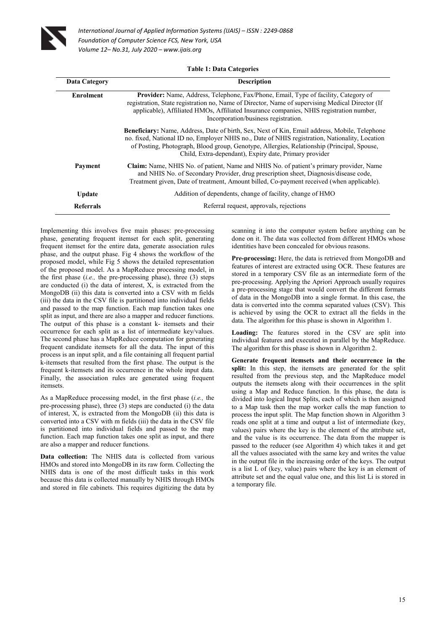

| <b>Data Category</b> | <b>Description</b>                                                                                                                                                                                                                                                                                                                                             |
|----------------------|----------------------------------------------------------------------------------------------------------------------------------------------------------------------------------------------------------------------------------------------------------------------------------------------------------------------------------------------------------------|
| <b>Enrolment</b>     | Provider: Name, Address, Telephone, Fax/Phone, Email, Type of facility, Category of<br>registration, State registration no, Name of Director, Name of supervising Medical Director (If<br>applicable), Affiliated HMOs, Affiliated Insurance companies, NHIS registration number,<br>Incorporation/business registration.                                      |
|                      | <b>Beneficiary:</b> Name, Address, Date of birth, Sex, Next of Kin, Email address, Mobile, Telephone<br>no. fixed, National ID no, Employer NHIS no., Date of NHIS registration, Nationality, Location<br>of Posting, Photograph, Blood group, Genotype, Allergies, Relationship (Principal, Spouse,<br>Child, Extra-dependant), Expiry date, Primary provider |
| Payment              | Claim: Name, NHIS No. of patient, Name and NHIS No. of patient's primary provider, Name<br>and NHIS No. of Secondary Provider, drug prescription sheet, Diagnosis/disease code,<br>Treatment given, Date of treatment, Amount billed, Co-payment received (when applicable).                                                                                   |
| <b>Update</b>        | Addition of dependents, change of facility, change of HMO                                                                                                                                                                                                                                                                                                      |
| <b>Referrals</b>     | Referral request, approvals, rejections                                                                                                                                                                                                                                                                                                                        |

Implementing this involves five main phases: pre-processing phase, generating frequent itemset for each split, generating frequent itemset for the entire data, generate association rules phase, and the output phase. Fig 4 shows the workflow of the proposed model, while Fig 5 shows the detailed representation of the proposed model. As a MapReduce processing model, in the first phase (*i.e.,* the pre-processing phase), three (3) steps are conducted (i) the data of interest, X, is extracted from the MongoDB (ii) this data is converted into a CSV with m fields (iii) the data in the CSV file is partitioned into individual fields and passed to the map function. Each map function takes one split as input, and there are also a mapper and reducer functions. The output of this phase is a constant k- itemsets and their occurrence for each split as a list of intermediate key/values. The second phase has a MapReduce computation for generating frequent candidate itemsets for all the data. The input of this process is an input split, and a file containing all frequent partial k-itemsets that resulted from the first phase. The output is the frequent k-itemsets and its occurrence in the whole input data. Finally, the association rules are generated using frequent itemsets.

As a MapReduce processing model, in the first phase (*i.e.,* the pre-processing phase), three (3) steps are conducted (i) the data of interest, X, is extracted from the MongoDB (ii) this data is converted into a CSV with m fields (iii) the data in the CSV file is partitioned into individual fields and passed to the map function. Each map function takes one split as input, and there are also a mapper and reducer functions.

**Data collection:** The NHIS data is collected from various HMOs and stored into MongoDB in its raw form. Collecting the NHIS data is one of the most difficult tasks in this work because this data is collected manually by NHIS through HMOs and stored in file cabinets. This requires digitizing the data by

scanning it into the computer system before anything can be done on it. The data was collected from different HMOs whose identities have been concealed for obvious reasons.

**Pre-processing:** Here, the data is retrieved from MongoDB and features of interest are extracted using OCR. These features are stored in a temporary CSV file as an intermediate form of the pre-processing. Applying the Apriori Approach usually requires a pre-processing stage that would convert the different formats of data in the MongoDB into a single format. In this case, the data is converted into the comma separated values (CSV). This is achieved by using the OCR to extract all the fields in the data. The algorithm for this phase is shown in Algorithm 1.

**Loading:** The features stored in the CSV are split into individual features and executed in parallel by the MapReduce. The algorithm for this phase is shown in Algorithm 2.

**Generate frequent itemsets and their occurrence in the**  split: In this step, the itemsets are generated for the split resulted from the previous step, and the MapReduce model outputs the itemsets along with their occurrences in the split using a Map and Reduce function. In this phase, the data is divided into logical Input Splits, each of which is then assigned to a Map task then the map worker calls the map function to process the input split. The Map function shown in Algorithm 3 reads one split at a time and output a list of intermediate (key, values) pairs where the key is the element of the attribute set, and the value is its occurrence. The data from the mapper is passed to the reducer (see Algorithm 4) which takes it and get all the values associated with the same key and writes the value in the output file in the increasing order of the keys. The output is a list L of (key, value) pairs where the key is an element of attribute set and the equal value one, and this list Li is stored in a temporary file.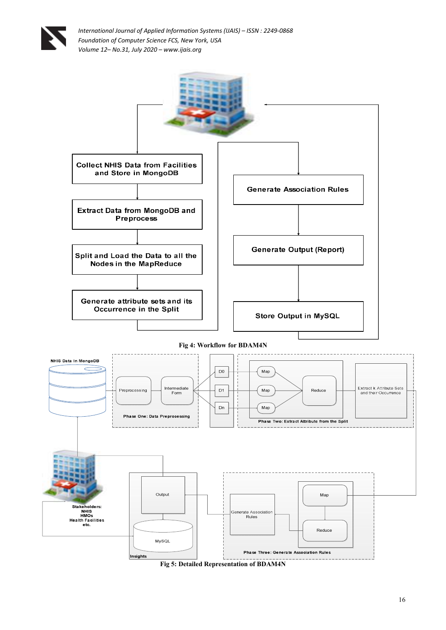



16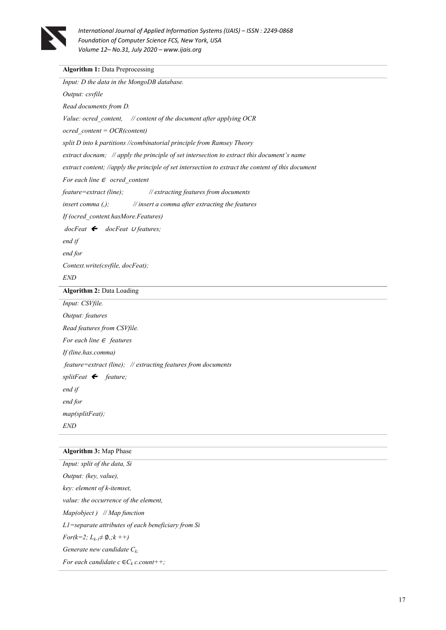

# **Algorithm 1: Data Preprocessing**

### **Algorithm 3:** Map Phase

*Input: split of the data, Si Output: (key, value), key: element of k-itemset, value: the occurrence of the element, Map(object ) // Map function L1=separate attributes of each beneficiary from Si For(k=2; Lk-1*≠ ∅*,;k ++) Generate new candidate Ck; For each candidate*  $c \in C_k$  *c.count++;*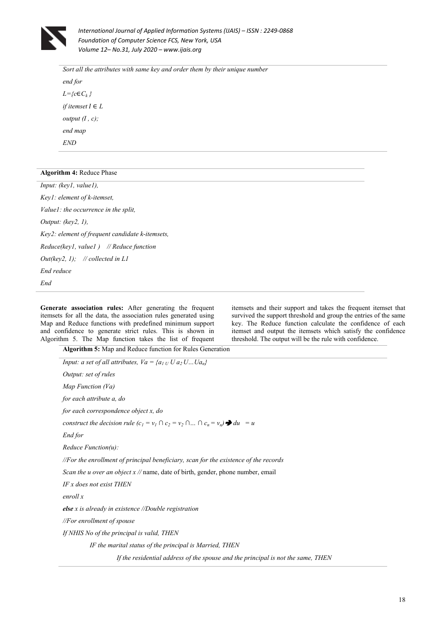

*Sort all the attributes with same key and order them by their unique number end for L={c*∈*C<sup>k</sup> } if itemset*  $I \in L$ *output (I , c); end map END*

#### **Algorithm 4:** Reduce Phase

*End* 

*Input: (key1, value1), Key1: element of k-itemset, Value1: the occurrence in the split, Output: (key2, 1), Key2: element of frequent candidate k-itemsets, Reduce(key1, value1 ) // Reduce function Out(key2, 1); // collected in L1 End reduce* 

**Generate association rules:** After generating the frequent itemsets for all the data, the association rules generated using Map and Reduce functions with predefined minimum support and confidence to generate strict rules. This is shown in Algorithm 5. The Map function takes the list of frequent

**Algorithm 5:** Map and Reduce function for Rules Generation

itemsets and their support and takes the frequent itemset that survived the support threshold and group the entries of the same key. The Reduce function calculate the confidence of each itemset and output the itemsets which satisfy the confidence threshold. The output will be the rule with confidence.

| Input: a set of all attributes, $Va = \{a_{1} \cup U \mid a_2 \cup  \cup a_n\}$                  |
|--------------------------------------------------------------------------------------------------|
| <i>Output: set of rules</i>                                                                      |
| Map Function $(Va)$                                                                              |
| for each attribute a, do                                                                         |
| for each correspondence object x, do                                                             |
| construct the decision rule $(c_1 = v_1 \cap c_2 = v_2 \cap  \cap c_n = v_n) \rightarrow du = u$ |
| End for                                                                                          |
| $Reduce Function(u)$ :                                                                           |
| //For the enrollment of principal beneficiary, scan for the existence of the records             |
| Scan the u over an object x // name, date of birth, gender, phone number, email                  |
| IF x does not exist THEN                                                                         |
| enroll x                                                                                         |
| else $x$ is already in existence //Double registration                                           |
| $\sqrt{F}$ enrollment of spouse                                                                  |
| If NHIS No of the principal is valid, THEN                                                       |
| IF the marital status of the principal is Married, THEN                                          |
| If the residential address of the spouse and the principal is not the same, THEN                 |
|                                                                                                  |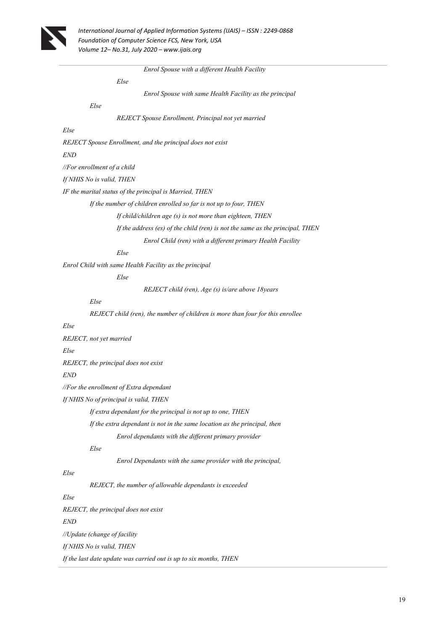

 *Enrol Spouse with a different Health Facility* 

 *Else* 

 *Enrol Spouse with same Health Facility as the principal* 

### *Else*

 *REJECT Spouse Enrollment, Principal not yet married* 

### *Else*

*REJECT Spouse Enrollment, and the principal does not exist* 

*END*

*//For enrollment of a child*

*If NHIS No is valid, THEN* 

*IF the marital status of the principal is Married, THEN* 

 *If the number of children enrolled so far is not up to four, THEN* 

 *If child/children age (s) is not more than eighteen, THEN* 

 *If the address (es) of the child (ren) is not the same as the principal, THEN* 

 *Enrol Child (ren) with a different primary Health Facility* 

 *Else* 

*Enrol Child with same Health Facility as the principal* 

 *Else* 

 *REJECT child (ren), Age (s) is/are above 18years*

 *Else* 

 *REJECT child (ren), the number of children is more than four for this enrollee* 

### *Else*

*REJECT, not yet married* 

*Else* 

*REJECT, the principal does not exist* 

#### *END*

*//For the enrollment of Extra dependant*

*If NHIS No of principal is valid, THEN* 

 *If extra dependant for the principal is not up to one, THEN* 

 *If the extra dependant is not in the same location as the principal, then* 

 *Enrol dependants with the different primary provider* 

 *Else* 

 *Enrol Dependants with the same provider with the principal,* 

#### *Else*

 *REJECT, the number of allowable dependants is exceeded* 

*Else* 

*REJECT, the principal does not exist END //Update (change of facility If NHIS No is valid, THEN If the last date update was carried out is up to six months, THEN*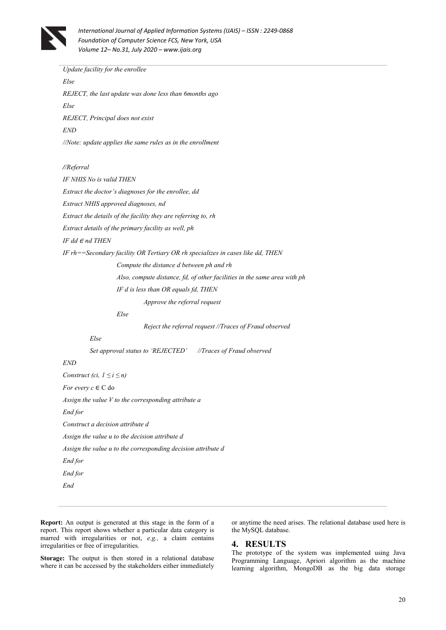

*Update facility for the enrollee Else REJECT, the last update was done less than 6months ago Else REJECT, Principal does not exist END //Note: update applies the same rules as in the enrollment* 

#### *//Referral*

*IF NHIS No is valid THEN Extract the doctor's diagnoses for the enrollee, dd Extract NHIS approved diagnoses, nd Extract the details of the facility they are referring to, rh Extract details of the primary facility as well, ph IF dd* ∈ nd THEN

*IF rh==Secondary facility OR Tertiary OR rh specializes in cases like dd, THEN* 

 *Compute the distance d between ph and rh Also, compute distance, fd, of other facilities in the same area with ph IF d is less than OR equals fd, THEN* 

 *Approve the referral request* 

 *Else* 

 *Reject the referral request //Traces of Fraud observed* 

 *Else* 

 *Set approval status to 'REJECTED' //Traces of Fraud observed* 

### *END*

*Construct (ci,*  $1 \leq i \leq n$ *) For every c* ∈ C do *Assign the value V to the corresponding attribute a End for Construct a decision attribute d Assign the value u to the decision attribute d Assign the value u to the corresponding decision attribute d End for End for End* 

**Report:** An output is generated at this stage in the form of a report. This report shows whether a particular data category is marred with irregularities or not, *e.g.,* a claim contains irregularities or free of irregularities.

**Storage:** The output is then stored in a relational database where it can be accessed by the stakeholders either immediately or anytime the need arises. The relational database used here is the MySQL database.

### **4. RESULTS**

The prototype of the system was implemented using Java Programming Language, Apriori algorithm as the machine learning algorithm, MongoDB as the big data storage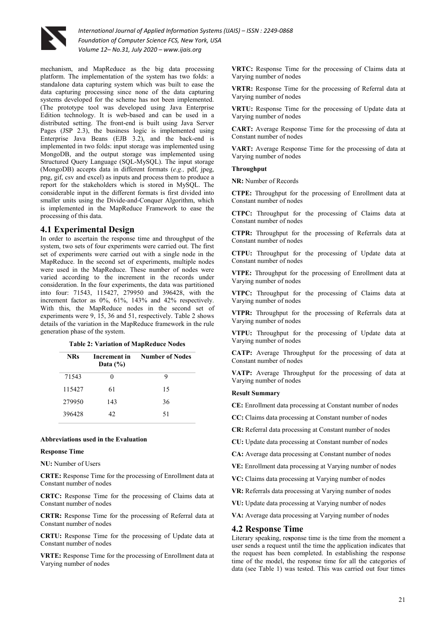

mechanism, and MapReduce as the big data processing platform. The implementation of the system has two folds: a standalone data capturing system which was built to ease the data capturing processing since none of the data capturing systems developed for the scheme has not been implemented. (The prototype tool was developed using Java Enterprise Edition technology. It is web-based and can be used in a distributed setting. The front-end is built using Java Server Pages (JSP 2.3), the business logic is implemented using Enterprise Java Beans (EJB 3.2), and the back-end is implemented in two folds: input storage was implemented using MongoDB, and the output storage was implemented using Structured Query Language (SQL-MySQL). The input storage (MongoDB) accepts data in different formats (*e.g.,* pdf, jpeg, png, gif, csv and excel) as inputs and process them to produce a report for the stakeholders which is stored in MySQL. The considerable input in the different formats is first divided into smaller units using the Divide-and-Conquer Algorithm, which is implemented in the MapReduce Framework to ease the processing of this data.

### **4.1 Experimental Design**

In order to ascertain the response time and throughput of the system, two sets of four experiments were carried out. The first set of experiments were carried out with a single node in the MapReduce. In the second set of experiments, multiple nodes were used in the MapReduce. These number of nodes were varied according to the increment in the records under consideration. In the four experiments, the data was partitioned into four: 71543, 115427, 279950 and 396428, with the increment factor as 0%, 61%, 143% and 42% respectively. With this, the MapReduce nodes in the second set of experiments were 9, 15, 36 and 51, respectively. Table 2 shows details of the variation in the MapReduce framework in the rule generation phase of the system.

|  | <b>Table 2: Variation of MapReduce Nodes</b> |  |  |  |
|--|----------------------------------------------|--|--|--|
|--|----------------------------------------------|--|--|--|

| <b>NRs</b> | Increment in<br>Data $(\% )$ | <b>Number of Nodes</b> |
|------------|------------------------------|------------------------|
| 71543      | $\mathbf{0}$                 | 9                      |
| 115427     | 61                           | 15                     |
| 279950     | 143                          | 36                     |
| 396428     | 42.                          | 51                     |

#### **Abbreviations used in the Evaluation**

#### **Response Time**

**NU:** Number of Users

**CRTE:** Response Time for the processing of Enrollment data at Constant number of nodes

**CRTC:** Response Time for the processing of Claims data at Constant number of nodes

**CRTR:** Response Time for the processing of Referral data at Constant number of nodes

**CRTU:** Response Time for the processing of Update data at Constant number of nodes

**VRTE:** Response Time for the processing of Enrollment data at Varying number of nodes

**VRTC:** Response Time for the processing of Claims data at Varying number of nodes

**VRTR:** Response Time for the processing of Referral data at Varying number of nodes

**VRTU:** Response Time for the processing of Update data at Varying number of nodes

**CART:** Average Response Time for the processing of data at Constant number of nodes

**VART:** Average Response Time for the processing of data at Varying number of nodes

#### **Throughput**

**NR:** Number of Records

**CTPE:** Throughput for the processing of Enrollment data at Constant number of nodes

**CTPC:** Throughput for the processing of Claims data at Constant number of nodes

**CTPR:** Throughput for the processing of Referrals data at Constant number of nodes

**CTPU:** Throughput for the processing of Update data at Constant number of nodes

**VTPE:** Throughput for the processing of Enrollment data at Varying number of nodes

**VTPC:** Throughput for the processing of Claims data at Varying number of nodes

**VTPR:** Throughput for the processing of Referrals data at Varying number of nodes

**VTPU:** Throughput for the processing of Update data at Varying number of nodes

**CATP:** Average Throughput for the processing of data at Constant number of nodes

**VATP:** Average Throughput for the processing of data at Varying number of nodes

#### **Result Summary**

**CE:** Enrollment data processing at Constant number of nodes

- **CC:** Claims data processing at Constant number of nodes
- **CR:** Referral data processing at Constant number of nodes
- **CU:** Update data processing at Constant number of nodes
- **CA:** Average data processing at Constant number of nodes
- **VE:** Enrollment data processing at Varying number of nodes
- **VC:** Claims data processing at Varying number of nodes

**VR:** Referrals data processing at Varying number of nodes

**VU:** Update data processing at Varying number of nodes

**VA:** Average data processing at Varying number of nodes

#### **4.2 Response Time**

Literary speaking, re**s**ponse time is the time from the moment a user sends a request until the time the application indicates that the request has been completed. In establishing the response time of the model, the response time for all the categories of data (see Table 1) was tested. This was carried out four times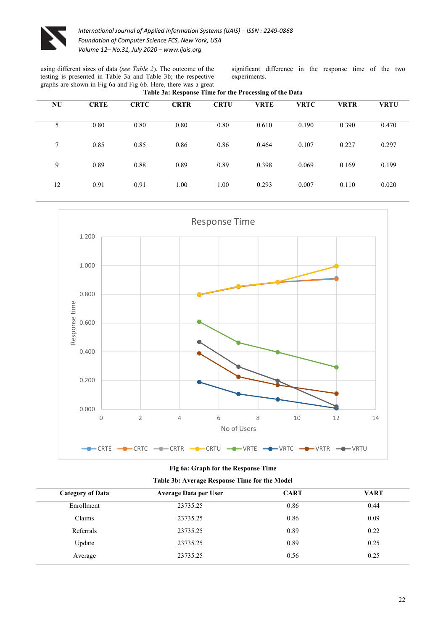

using different sizes of data (*see Table 2*). The outcome of the testing is presented in Table 3a and Table 3b; the respective graphs are shown in Fig 6a and Fig 6b. Here, there was a great **Table 3a: Response Time for the Processing of the Data** 

significant difference in the response time of the two experiments.

| <b>NU</b>       | <b>CRTE</b> | <b>CRTC</b> | <b>CRTR</b> | <b>CRTU</b> | <b>VRTE</b> | <b>VRTC</b> | <b>VRTR</b> | <b>VRTU</b> |  |
|-----------------|-------------|-------------|-------------|-------------|-------------|-------------|-------------|-------------|--|
| 5               | 0.80        | 0.80        | 0.80        | 0.80        | 0.610       | 0.190       | 0.390       | 0.470       |  |
| $7\phantom{.0}$ | 0.85        | 0.85        | 0.86        | 0.86        | 0.464       | 0.107       | 0.227       | 0.297       |  |
| 9               | 0.89        | 0.88        | 0.89        | 0.89        | 0.398       | 0.069       | 0.169       | 0.199       |  |
| 12              | 0.91        | 0.91        | 1.00        | 1.00        | 0.293       | 0.007       | 0.110       | 0.020       |  |
|                 |             |             |             |             |             |             |             |             |  |



### **Fig 6a: Graph for the Response Time**

| Table 3b: Average Response Time for the Model |  |  |  |
|-----------------------------------------------|--|--|--|
|                                               |  |  |  |

| <b>Category of Data</b> | <b>Average Data per User</b> | <b>CART</b> | <b>VART</b> |
|-------------------------|------------------------------|-------------|-------------|
| Enrollment              | 23735.25                     | 0.86        | 0.44        |
| Claims                  | 23735.25                     | 0.86        | 0.09        |
| Referrals               | 23735.25                     | 0.89        | 0.22        |
| Update                  | 23735.25                     | 0.89        | 0.25        |
| Average                 | 23735.25                     | 0.56        | 0.25        |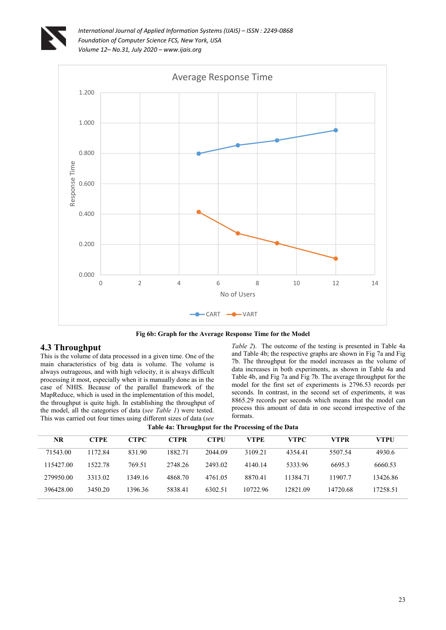



**Fig 6b: Graph for the Average Response Time for the Model** 

### **4.3 Throughput**

This is the volume of data processed in a given time. One of the main characteristics of big data is volume. The volume is always outrageous, and with high velocity, it is always difficult processing it most, especially when it is manually done as in the case of NHIS. Because of the parallel framework of the MapReduce, which is used in the implementation of this model, the throughput is quite high. In establishing the throughput of the model, all the categories of data (*see Table 1*) were tested. This was carried out four times using different sizes of data (*see* 

*Table 2*). The outcome of the testing is presented in Table 4a and Table 4b; the respective graphs are shown in Fig 7a and Fig 7b. The throughput for the model increases as the volume of data increases in both experiments, as shown in Table 4a and Table 4b, and Fig 7a and Fig 7b. The average throughput for the model for the first set of experiments is 2796.53 records per seconds. In contrast, in the second set of experiments, it was 8865.29 records per seconds which means that the model can process this amount of data in one second irrespective of the formats.

| NR        | <b>CTPE</b> | CTPC    | CTPR    | <b>CTPU</b> | VTPE     | <b>VTPC</b> | <b>VTPR</b> | VTPU     |
|-----------|-------------|---------|---------|-------------|----------|-------------|-------------|----------|
| 71543.00  | 1172.84     | 831.90  | 1882.71 | 2044.09     | 3109.21  | 4354.41     | 5507.54     | 4930.6   |
| 115427.00 | 1522.78     | 769.51  | 2748.26 | 2493.02     | 4140.14  | 5333.96     | 6695.3      | 6660.53  |
| 279950.00 | 3313.02     | 1349.16 | 4868.70 | 4761.05     | 8870.41  | 11384 71    | 119077      | 13426.86 |
| 396428.00 | 3450.20     | 1396.36 | 5838.41 | 6302.51     | 10722.96 | 12821.09    | 14720.68    | 17258.51 |

**Table 4a: Throughput for the Processing of the Data**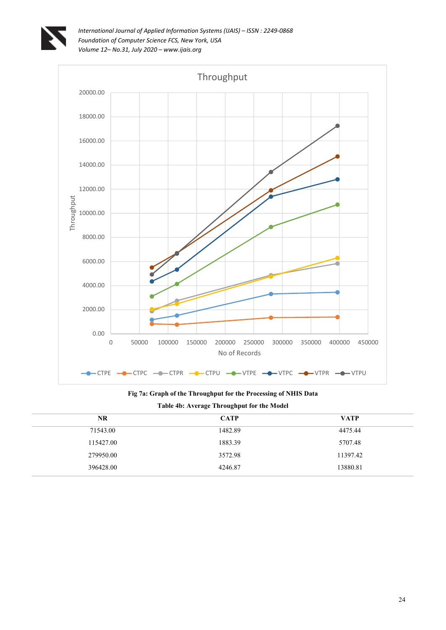



**Fig 7a: Graph of the Throughput for the Processing of NHIS Data Table 4b: Average Throughput for the Model** 

| <b>NR</b> | <b>CATP</b> | <b>VATP</b> |
|-----------|-------------|-------------|
| 71543.00  | 1482.89     | 4475.44     |
| 115427.00 | 1883.39     | 5707.48     |
| 279950.00 | 3572.98     | 11397.42    |
| 396428.00 | 4246.87     | 13880.81    |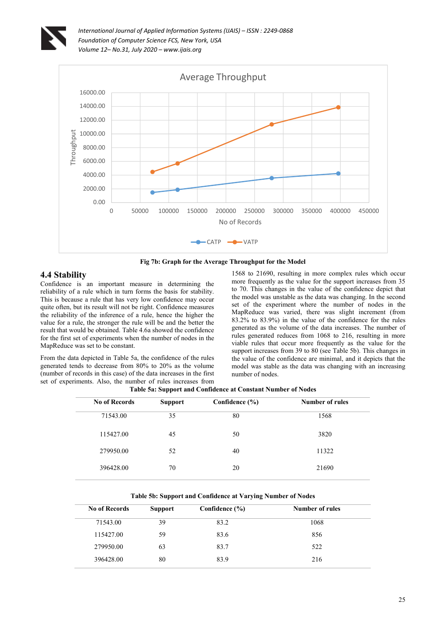





# **4.4 Stability**

Confidence is an important measure in determining the reliability of a rule which in turn forms the basis for stability. This is because a rule that has very low confidence may occur quite often, but its result will not be right. Confidence measures the reliability of the inference of a rule, hence the higher the value for a rule, the stronger the rule will be and the better the result that would be obtained. Table 4.6a showed the confidence for the first set of experiments when the number of nodes in the MapReduce was set to be constant.

From the data depicted in Table 5a, the confidence of the rules generated tends to decrease from 80% to 20% as the volume (number of records in this case) of the data increases in the first set of experiments. Also, the number of rules increases from

1568 to 21690, resulting in more complex rules which occur more frequently as the value for the support increases from 35 to 70. This changes in the value of the confidence depict that the model was unstable as the data was changing. In the second set of the experiment where the number of nodes in the MapReduce was varied, there was slight increment (from 83.2% to 83.9%) in the value of the confidence for the rules generated as the volume of the data increases. The number of rules generated reduces from 1068 to 216, resulting in more viable rules that occur more frequently as the value for the support increases from 39 to 80 (see Table 5b). This changes in the value of the confidence are minimal, and it depicts that the model was stable as the data was changing with an increasing number of nodes.

|                      | - -            |                    |                        |
|----------------------|----------------|--------------------|------------------------|
| <b>No of Records</b> | <b>Support</b> | Confidence $(\% )$ | <b>Number of rules</b> |
| 71543.00             | 35             | 80                 | 1568                   |
| 115427.00            | 45             | 50                 | 3820                   |
| 279950.00            | 52             | 40                 | 11322                  |
| 396428.00            | 70             | 20                 | 21690                  |
|                      |                |                    |                        |

**Table 5a: Support and Confidence at Constant Number of Nodes** 

#### **Table 5b: Support and Confidence at Varying Number of Nodes**

| <b>No of Records</b> | <b>Support</b> | Confidence (%) | Number of rules |  |
|----------------------|----------------|----------------|-----------------|--|
| 71543.00             | 39             | 83.2           | 1068            |  |
| 115427.00            | 59             | 83.6           | 856             |  |
| 279950.00            | 63             | 83.7           | 522             |  |
| 396428.00            | 80             | 83.9           | 216             |  |
|                      |                |                |                 |  |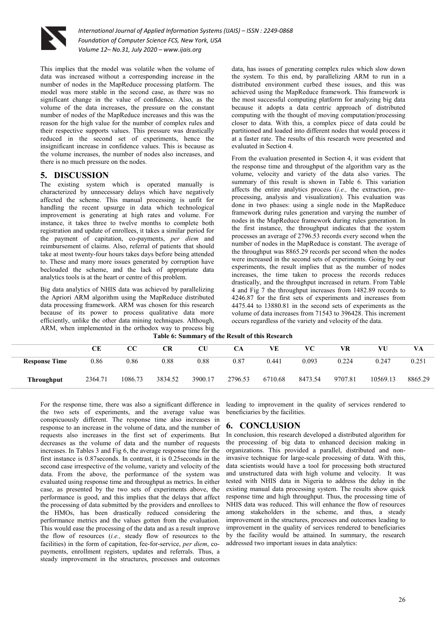

This implies that the model was volatile when the volume of data was increased without a corresponding increase in the number of nodes in the MapReduce processing platform. The model was more stable in the second case, as there was no significant change in the value of confidence. Also, as the volume of the data increases, the pressure on the constant number of nodes of the MapReduce increases and this was the reason for the high value for the number of complex rules and their respective supports values. This pressure was drastically reduced in the second set of experiments, hence the insignificant increase in confidence values. This is because as the volume increases, the number of nodes also increases, and there is no much pressure on the nodes.

### **5. DISCUSSION**

The existing system which is operated manually is characterized by unnecessary delays which have negatively affected the scheme. This manual processing is unfit for handling the recent upsurge in data which technological improvement is generating at high rates and volume. For instance, it takes three to twelve months to complete both registration and update of enrollees, it takes a similar period for the payment of capitation, co-payments, *per diem* and reimbursement of claims. Also, referral of patients that should take at most twenty-four hours takes days before being attended to. These and many more issues generated by corruption have beclouded the scheme, and the lack of appropriate data analytics tools is at the heart or centre of this problem.

Big data analytics of NHIS data was achieved by parallelizing the Apriori ARM algorithm using the MapReduce distributed data processing framework. ARM was chosen for this research because of its power to process qualitative data more efficiently, unlike the other data mining techniques. Although, ARM, when implemented in the orthodox way to process big data, has issues of generating complex rules which slow down the system. To this end, by parallelizing ARM to run in a distributed environment curbed these issues, and this was achieved using the MapReduce framework. This framework is the most successful computing platform for analyzing big data because it adopts a data centric approach of distributed computing with the thought of moving computation/processing closer to data. With this, a complex piece of data could be partitioned and loaded into different nodes that would process it at a faster rate. The results of this research were presented and evaluated in Section 4.

From the evaluation presented in Section 4, it was evident that the response time and throughput of the algorithm vary as the volume, velocity and variety of the data also varies. The summary of this result is shown in Table 6. This variation affects the entire analytics process (*i.e.,* the extraction, preprocessing, analysis and visualization). This evaluation was done in two phases: using a single node in the MapReduce framework during rules generation and varying the number of nodes in the MapReduce framework during rules generation. In the first instance, the throughput indicates that the system processes an average of 2796.53 records every second when the number of nodes in the MapReduce is constant. The average of the throughput was 8865.29 records per second when the nodes were increased in the second sets of experiments. Going by our experiments, the result implies that as the number of nodes increases, the time taken to process the records reduces drastically, and the throughput increased in return. From Table 4 and Fig 7 the throughput increases from 1482.89 records to 4246.87 for the first sets of experiments and increases from 4475.44 to 13880.81 in the second sets of experiments as the volume of data increases from 71543 to 396428. This increment occurs regardless of the variety and velocity of the data.

**Table 6: Summary of the Result of this Research** 

|                      | CЕ      | CC      | <b>CR</b> | CU      | CA      | VE      | VС      | VR      | VU       | VA      |
|----------------------|---------|---------|-----------|---------|---------|---------|---------|---------|----------|---------|
| <b>Response Time</b> | 0.86    | 0.86    | 0.88      | 0.88    | 0.87    | 0.441   | 0.093   | 0.224   | 0.247    | 0.251   |
| <b>Throughput</b>    | 2364.71 | 1086.73 | 3834.52   | 3900.17 | 2796.53 | 6710.68 | 8473.54 | 9707.81 | 10569.13 | 8865.29 |

For the response time, there was also a significant difference in the two sets of experiments, and the average value was conspicuously different. The response time also increases in response to an increase in the volume of data, and the number of requests also increases in the first set of experiments. But decreases as the volume of data and the number of requests increases. In Tables 3 and Fig 6, the average response time for the first instance is  $0.87$  seconds. In contrast, it is  $0.25$  seconds in the second case irrespective of the volume, variety and velocity of the data. From the above, the performance of the system was evaluated using response time and throughput as metrics. In either case, as presented by the two sets of experiments above, the performance is good, and this implies that the delays that affect the processing of data submitted by the providers and enrollees to the HMOs, has been drastically reduced considering the performance metrics and the values gotten from the evaluation. This would ease the processing of the data and as a result improve the flow of resources (*i.e.,* steady flow of resources to the facilities) in the form of capitation, fee-for-service, *per diem*, copayments, enrollment registers, updates and referrals. Thus, a steady improvement in the structures, processes and outcomes

leading to improvement in the quality of services rendered to beneficiaries by the facilities.

# **6. CONCLUSION**

In conclusion, this research developed a distributed algorithm for the processing of big data to enhanced decision making in organizations. This provided a parallel, distributed and noninvasive technique for large-scale processing of data. With this, data scientists would have a tool for processing both structured and unstructured data with high volume and velocity. It was tested with NHIS data in Nigeria to address the delay in the existing manual data processing system. The results show quick response time and high throughput. Thus, the processing time of NHIS data was reduced. This will enhance the flow of resources among stakeholders in the scheme, and thus, a steady improvement in the structures, processes and outcomes leading to improvement in the quality of services rendered to beneficiaries by the facility would be attained. In summary, the research addressed two important issues in data analytics: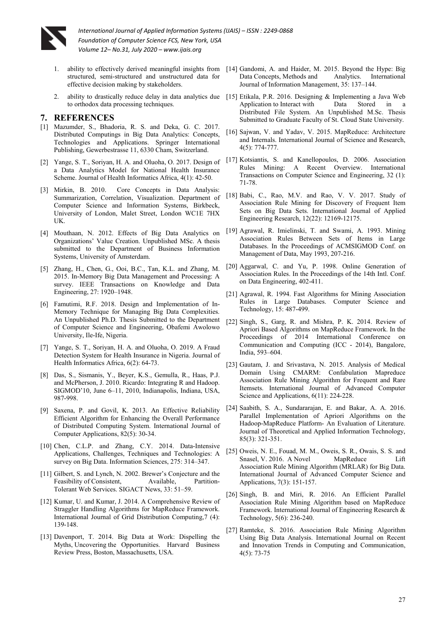

- 1. ability to effectively derived meaningful insights from structured, semi-structured and unstructured data for effective decision making by stakeholders.
- to orthodox data processing techniques.

### **7. REFERENCES**

- [1] Mazumder, S., Bhadoria, R. S. and Deka, G. C. 2017. Distributed Computings in Big Data Analytics: Concepts, Technologies and Applications. Springer International Publishing, Gewerbestrasse 11, 6330 Cham, Switzerland.
- [2] Yange, S. T., Soriyan, H. A. and Oluoha, O. 2017. Design of a Data Analytics Model for National Health Insurance Scheme. Journal of Health Informatics Africa, 4(1): 42-50.
- [3] Mirkin, B. 2010. Core Concepts in Data Analysis: Summarization, Correlation, Visualization. Department of Computer Science and Information Systems, Birkbeck, University of London, Malet Street, London WC1E 7HX UK.
- [4] Mouthaan, N. 2012. Effects of Big Data Analytics on Organizations' Value Creation. Unpublished MSc. A thesis submitted to the Department of Business Information Systems, University of Amsterdam.
- [5] Zhang, H., Chen, G., Ooi, B.C., Tan, K.L. and Zhang, M. 2015. In-Memory Big Data Management and Processing: A survey. IEEE Transactions on Knowledge and Data Engineering, 27: 1920–1948.
- [6] Famutimi, R.F. 2018. Design and Implementation of In-Memory Technique for Managing Big Data Complexities. An Unpublished Ph.D. Thesis Submitted to the Department of Computer Science and Engineering, Obafemi Awolowo University, Ile-Ife, Nigeria.
- [7] Yange, S. T., Soriyan, H. A. and Oluoha, O. 2019. A Fraud Detection System for Health Insurance in Nigeria. Journal of Health Informatics Africa, 6(2): 64-73.
- [8] Das, S., Sismanis, Y., Beyer, K.S., Gemulla, R., Haas, P.J. and McPherson, J. 2010. Ricardo: Integrating R and Hadoop. SIGMOD'10, June 6–11, 2010, Indianapolis, Indiana, USA, 987-998.
- [9] Saxena, P. and Govil, K. 2013. An Effective Reliability Efficient Algorithm for Enhancing the Overall Performance of Distributed Computing System. International Journal of Computer Applications, 82(5): 30-34.
- [10] Chen, C.L.P. and Zhang, C.Y. 2014. Data-Intensive Applications, Challenges, Techniques and Technologies: A survey on Big Data. Information Sciences, 275: 314–347.
- [11] Gilbert, S. and Lynch, N. 2002. Brewer's Conjecture and the Feasibility of Consistent Available Partition-Tolerant Web Services. SIGACT News, 33: 51–59.
- [12] Kumar, U. and Kumar, J. 2014. A Comprehensive Review of Straggler Handling Algorithms for MapReduce Framework. International Journal of Grid Distribution Computing,7 (4): 139-148.
- [13] Davenport, T. 2014. Big Data at Work: Dispelling the Myths, Uncovering the Opportunities. Harvard Business Review Press, Boston, Massachusetts, USA.
- [14] Gandomi, A. and Haider, M. 2015. Beyond the Hype: Big Data Concepts, Methods and Analytics. International Journal of Information Management, 35: 137–144.
- 2. ability to drastically reduce delay in data analytics due [15] Etikala, P.R. 2016. Designing & Implementing a Java Web Application to Interact with Data Stored in a Distributed File System. An Unpublished M.Sc. Thesis Submitted to Graduate Faculty of St. Cloud State University.
	- [16] Sajwan, V. and Yadav, V. 2015. MapReduce: Architecture and Internals. International Journal of Science and Research, 4(5): 774-777.
	- [17] Kotsiantis, S. and Kanellopoulos, D. 2006. Association Rules Mining: A Recent Overview. International Transactions on Computer Science and Engineering, 32 (1): 71-78.
	- [18] Babi, C., Rao, M.V. and Rao, V. V. 2017. Study of Association Rule Mining for Discovery of Frequent Item Sets on Big Data Sets. International Journal of Applied Engineering Research, 12(22): 12169-12175.
	- [19] Agrawal, R. Imielinski, T. and Swami, A. 1993. Mining Association Rules Between Sets of Items in Large Databases. In the Proceedings of ACMSIGMOD Conf. on Management of Data, May 1993, 207-216.
	- [20] Aggarwal, C. and Yu, P. 1998. Online Generation of Association Rules. In the Proceedings of the 14th Intl. Conf. on Data Engineering, 402-411.
	- [21] Agrawal, R. 1994. Fast Algorithms for Mining Association Rules in Large Databases. Computer Science and Technology, 15: 487-499.
	- [22] Singh, S., Garg, R. and Mishra, P. K. 2014. Review of Apriori Based Algorithms on MapReduce Framework. In the Proceedings of 2014 International Conference on Communication and Computing (ICC - 2014), Bangalore, India, 593–604.
	- [23] Gautam, J. and Srivastava, N. 2015. Analysis of Medical Domain Using CMARM: Confabulation Mapreduce Association Rule Mining Algorithm for Frequent and Rare Itemsets. International Journal of Advanced Computer Science and Applications, 6(11): 224-228.
	- [24] Saabith, S. A., Sundararajan, E. and Bakar, A. A. 2016. Parallel Implementation of Apriori Algorithms on the Hadoop-MapReduce Platform- An Evaluation of Literature. Journal of Theoretical and Applied Information Technology, 85(3): 321-351.
	- [25] Oweis, N. E., Fouad, M. M., Oweis, S. R., Owais, S. S. and Snasel, V. 2016. A Novel MapReduce Lift Association Rule Mining Algorithm (MRLAR) for Big Data. International Journal of Advanced Computer Science and Applications, 7(3): 151-157.
	- [26] Singh, B. and Miri, R. 2016. An Efficient Parallel Association Rule Mining Algorithm based on MapReduce Framework. International Journal of Engineering Research & Technology, 5(6): 236-240.
	- [27] Ramteke, S. 2016. Association Rule Mining Algorithm Using Big Data Analysis. International Journal on Recent and Innovation Trends in Computing and Communication, 4(5): 73-75